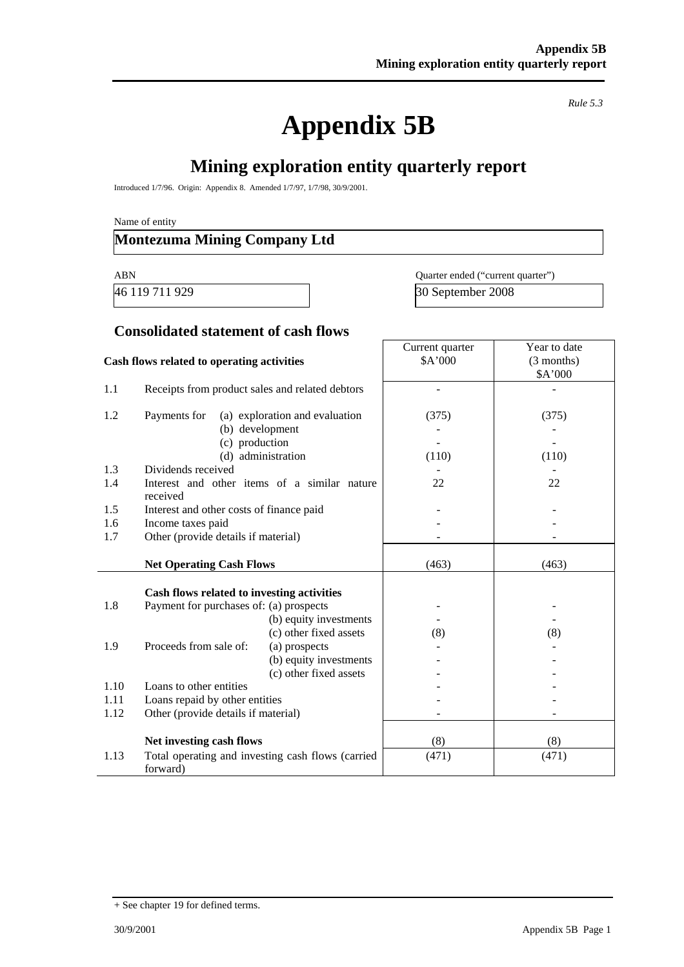# **Appendix 5B**

*Rule 5.3* 

# **Mining exploration entity quarterly report**

Introduced 1/7/96. Origin: Appendix 8. Amended 1/7/97, 1/7/98, 30/9/2001.

Name of entity

## **Montezuma Mining Company Ltd**

46 119 711 929

| ABN            | Quarter ended ("current quarter") |
|----------------|-----------------------------------|
| 46 119 711 929 | 30 September 2008                 |

Year to date (3 months)

Current quarter \$A'000

#### **Consolidated statement of cash flows**

#### **Cash flows related to operating activities**

|      |                                                 |                                                   |       | \$A'000 |
|------|-------------------------------------------------|---------------------------------------------------|-------|---------|
| 1.1  | Receipts from product sales and related debtors |                                                   |       |         |
| 1.2  | Payments for                                    | (a) exploration and evaluation                    | (375) | (375)   |
|      |                                                 | (b) development                                   |       |         |
|      | (c) production                                  |                                                   |       |         |
|      |                                                 | (d) administration                                | (110) | (110)   |
| 1.3  | Dividends received                              |                                                   |       |         |
| 1.4  | received                                        | Interest and other items of a similar nature      | 22    | 22      |
| 1.5  | Interest and other costs of finance paid        |                                                   |       |         |
| 1.6  | Income taxes paid                               |                                                   |       |         |
| 1.7  | Other (provide details if material)             |                                                   |       |         |
|      |                                                 |                                                   |       |         |
|      | <b>Net Operating Cash Flows</b>                 |                                                   | (463) | (463)   |
|      |                                                 |                                                   |       |         |
|      |                                                 |                                                   |       |         |
|      | Cash flows related to investing activities      |                                                   |       |         |
| 1.8  | Payment for purchases of: (a) prospects         |                                                   |       |         |
|      |                                                 | (b) equity investments                            |       |         |
|      |                                                 | (c) other fixed assets                            | (8)   | (8)     |
| 1.9  | Proceeds from sale of:                          | (a) prospects                                     |       |         |
|      |                                                 | (b) equity investments                            |       |         |
|      |                                                 | (c) other fixed assets                            |       |         |
| 1.10 | Loans to other entities                         |                                                   |       |         |
| 1.11 | Loans repaid by other entities                  |                                                   |       |         |
| 1.12 | Other (provide details if material)             |                                                   |       |         |
|      |                                                 |                                                   |       |         |
|      | Net investing cash flows                        |                                                   | (8)   | (8)     |
| 1.13 | forward)                                        | Total operating and investing cash flows (carried | (471) | (471)   |

<sup>+</sup> See chapter 19 for defined terms.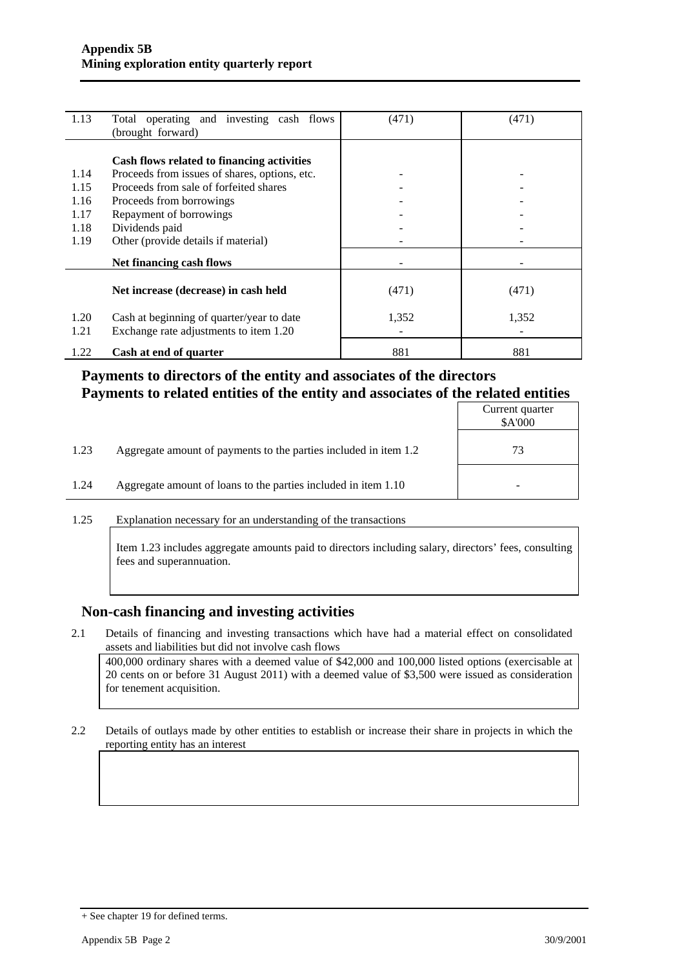| 1.13 | Total operating and investing cash flows<br>(brought forward) | (471) | (471) |
|------|---------------------------------------------------------------|-------|-------|
|      |                                                               |       |       |
|      | Cash flows related to financing activities                    |       |       |
| 1.14 | Proceeds from issues of shares, options, etc.                 |       |       |
| 1.15 | Proceeds from sale of forfeited shares                        |       |       |
| 1.16 | Proceeds from borrowings                                      |       |       |
| 1.17 | Repayment of borrowings                                       |       |       |
| 1.18 | Dividends paid                                                |       |       |
| 1.19 | Other (provide details if material)                           |       |       |
|      | Net financing cash flows                                      |       |       |
|      | Net increase (decrease) in cash held                          | (471) | (471) |
| 1.20 | Cash at beginning of quarter/year to date                     | 1,352 | 1,352 |
| 1.21 | Exchange rate adjustments to item 1.20                        |       |       |
| 1.22 | Cash at end of quarter                                        | 881   | 881   |

#### **Payments to directors of the entity and associates of the directors Payments to related entities of the entity and associates of the related entities**

|      |                                                                  | Current quarter<br>\$A'000 |
|------|------------------------------------------------------------------|----------------------------|
| 1.23 | Aggregate amount of payments to the parties included in item 1.2 | 73                         |
| 1.24 | Aggregate amount of loans to the parties included in item 1.10   |                            |

1.25 Explanation necessary for an understanding of the transactions

Item 1.23 includes aggregate amounts paid to directors including salary, directors' fees, consulting fees and superannuation.

#### **Non-cash financing and investing activities**

2.1 Details of financing and investing transactions which have had a material effect on consolidated assets and liabilities but did not involve cash flows

 400,000 ordinary shares with a deemed value of \$42,000 and 100,000 listed options (exercisable at 20 cents on or before 31 August 2011) with a deemed value of \$3,500 were issued as consideration for tenement acquisition.

2.2 Details of outlays made by other entities to establish or increase their share in projects in which the reporting entity has an interest

<sup>+</sup> See chapter 19 for defined terms.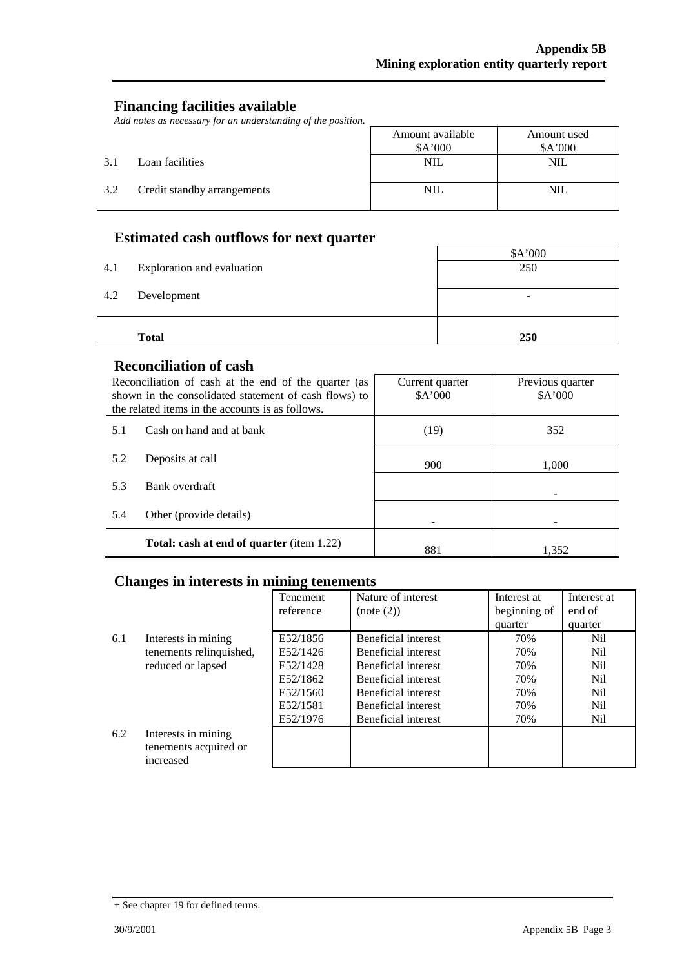Ť,

#### **Financing facilities available**

*Add notes as necessary for an understanding of the position.* 

|     |                             | Amount available<br>\$A'000 | Amount used<br>A'000 |
|-----|-----------------------------|-----------------------------|----------------------|
| 3.1 | Loan facilities             | <b>NIL</b>                  | <b>NIL</b>           |
| 3.2 | Credit standby arrangements | NIL                         | <b>NIL</b>           |

### **Estimated cash outflows for next quarter**

|     | <b>Total</b>               | 250                      |
|-----|----------------------------|--------------------------|
| 4.2 | Development                | $\overline{\phantom{0}}$ |
| 4.1 | Exploration and evaluation | 250                      |
|     |                            | \$A'000                  |

#### **Reconciliation of cash**

|     | Reconciliation of cash at the end of the quarter (as<br>shown in the consolidated statement of cash flows) to<br>the related items in the accounts is as follows. | Current quarter<br>A'000 | Previous quarter<br>A'000 |
|-----|-------------------------------------------------------------------------------------------------------------------------------------------------------------------|--------------------------|---------------------------|
| 5.1 | Cash on hand and at bank                                                                                                                                          | (19)                     | 352                       |
| 5.2 | Deposits at call                                                                                                                                                  | 900                      | 1,000                     |
| 5.3 | Bank overdraft                                                                                                                                                    |                          |                           |
| 5.4 | Other (provide details)                                                                                                                                           |                          |                           |
|     | <b>Total: cash at end of quarter</b> (item 1.22)                                                                                                                  | 881                      | 1.352                     |

#### **Changes in interests in mining tenements**

|     |                                                           | <b>Tenement</b> | Nature of interest  | Interest at  | Interest at |
|-----|-----------------------------------------------------------|-----------------|---------------------|--------------|-------------|
|     |                                                           | reference       | (note (2))          | beginning of | end of      |
|     |                                                           |                 |                     | quarter      | quarter     |
| 6.1 | Interests in mining                                       | E52/1856        | Beneficial interest | 70%          | Nil         |
|     | tenements relinquished,                                   | E52/1426        | Beneficial interest | 70%          | Nil         |
|     | reduced or lapsed                                         | E52/1428        | Beneficial interest | 70%          | Nil         |
|     |                                                           | E52/1862        | Beneficial interest | 70%          | Nil         |
|     |                                                           | E52/1560        | Beneficial interest | 70%          | Nil         |
|     |                                                           | E52/1581        | Beneficial interest | 70%          | Nil         |
|     |                                                           | E52/1976        | Beneficial interest | 70%          | Nil         |
| 6.2 | Interests in mining<br>tenements acquired or<br>increased |                 |                     |              |             |

<sup>+</sup> See chapter 19 for defined terms.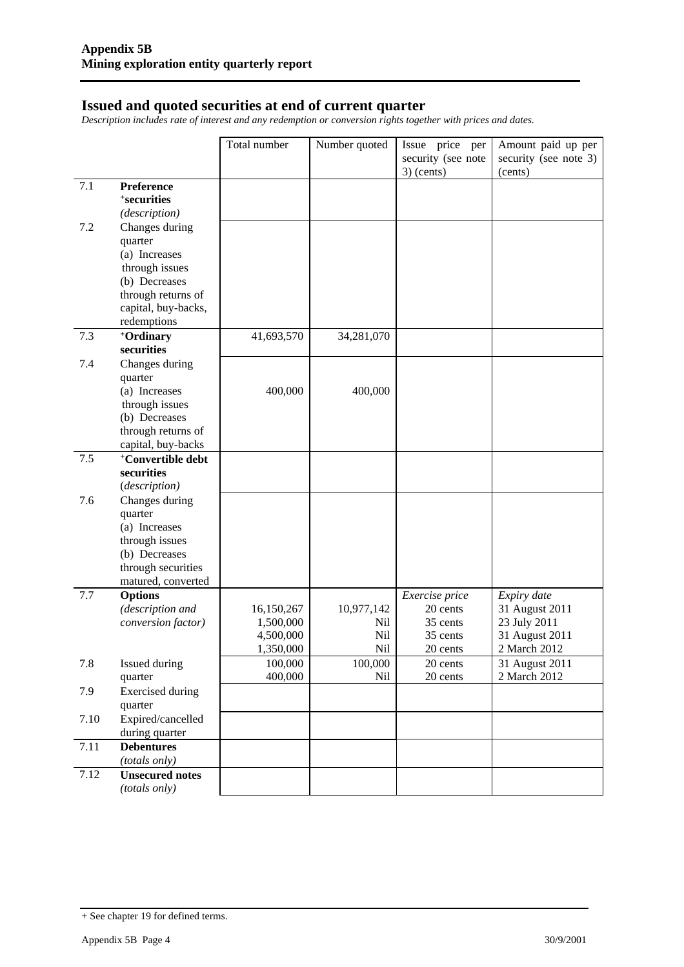#### **Issued and quoted securities at end of current quarter**

*Description includes rate of interest and any redemption or conversion rights together with prices and dates.* 

| $3)$ (cents)<br>(cents)<br>7.1<br>Preference<br><sup>+</sup> securities<br>(description)<br>7.2<br>Changes during<br>quarter<br>(a) Increases<br>through issues<br>(b) Decreases<br>through returns of<br>capital, buy-backs,<br>redemptions<br>41,693,570<br>7.3<br>+Ordinary<br>34,281,070<br>securities<br>7.4<br>Changes during<br>quarter<br>400,000<br>400,000<br>(a) Increases<br>through issues<br>(b) Decreases<br>through returns of<br>capital, buy-backs<br><sup>+</sup> Convertible debt<br>7.5<br>securities<br>(description)<br>7.6<br>Changes during<br>quarter<br>(a) Increases<br>through issues<br>(b) Decreases<br>through securities<br>matured, converted<br>Expiry date<br>7.7<br><b>Options</b><br>Exercise price<br>10,977,142<br>(description and<br>16,150,267<br>20 cents<br>31 August 2011<br>1,500,000<br>35 cents<br>23 July 2011<br>conversion factor)<br>Nil<br>4,500,000<br>Nil<br>31 August 2011<br>35 cents<br>1,350,000<br>Nil<br>2 March 2012<br>20 cents<br>7.8<br>100,000<br>Issued during<br>100,000<br>31 August 2011<br>20 cents<br>20 cents<br>2 March 2012<br>400,000<br>Nil<br>quarter<br>7.9<br><b>Exercised</b> during<br>quarter<br>Expired/cancelled<br>7.10<br>during quarter<br>7.11<br><b>Debentures</b><br>(totals only)<br>7.12<br><b>Unsecured notes</b> |  | Total number | Number quoted | Issue price per<br>security (see note | Amount paid up per<br>security (see note 3) |
|------------------------------------------------------------------------------------------------------------------------------------------------------------------------------------------------------------------------------------------------------------------------------------------------------------------------------------------------------------------------------------------------------------------------------------------------------------------------------------------------------------------------------------------------------------------------------------------------------------------------------------------------------------------------------------------------------------------------------------------------------------------------------------------------------------------------------------------------------------------------------------------------------------------------------------------------------------------------------------------------------------------------------------------------------------------------------------------------------------------------------------------------------------------------------------------------------------------------------------------------------------------------------------------------------------------|--|--------------|---------------|---------------------------------------|---------------------------------------------|
|                                                                                                                                                                                                                                                                                                                                                                                                                                                                                                                                                                                                                                                                                                                                                                                                                                                                                                                                                                                                                                                                                                                                                                                                                                                                                                                  |  |              |               |                                       |                                             |
|                                                                                                                                                                                                                                                                                                                                                                                                                                                                                                                                                                                                                                                                                                                                                                                                                                                                                                                                                                                                                                                                                                                                                                                                                                                                                                                  |  |              |               |                                       |                                             |
|                                                                                                                                                                                                                                                                                                                                                                                                                                                                                                                                                                                                                                                                                                                                                                                                                                                                                                                                                                                                                                                                                                                                                                                                                                                                                                                  |  |              |               |                                       |                                             |
|                                                                                                                                                                                                                                                                                                                                                                                                                                                                                                                                                                                                                                                                                                                                                                                                                                                                                                                                                                                                                                                                                                                                                                                                                                                                                                                  |  |              |               |                                       |                                             |
|                                                                                                                                                                                                                                                                                                                                                                                                                                                                                                                                                                                                                                                                                                                                                                                                                                                                                                                                                                                                                                                                                                                                                                                                                                                                                                                  |  |              |               |                                       |                                             |
|                                                                                                                                                                                                                                                                                                                                                                                                                                                                                                                                                                                                                                                                                                                                                                                                                                                                                                                                                                                                                                                                                                                                                                                                                                                                                                                  |  |              |               |                                       |                                             |
|                                                                                                                                                                                                                                                                                                                                                                                                                                                                                                                                                                                                                                                                                                                                                                                                                                                                                                                                                                                                                                                                                                                                                                                                                                                                                                                  |  |              |               |                                       |                                             |
|                                                                                                                                                                                                                                                                                                                                                                                                                                                                                                                                                                                                                                                                                                                                                                                                                                                                                                                                                                                                                                                                                                                                                                                                                                                                                                                  |  |              |               |                                       |                                             |
|                                                                                                                                                                                                                                                                                                                                                                                                                                                                                                                                                                                                                                                                                                                                                                                                                                                                                                                                                                                                                                                                                                                                                                                                                                                                                                                  |  |              |               |                                       |                                             |
|                                                                                                                                                                                                                                                                                                                                                                                                                                                                                                                                                                                                                                                                                                                                                                                                                                                                                                                                                                                                                                                                                                                                                                                                                                                                                                                  |  |              |               |                                       |                                             |
|                                                                                                                                                                                                                                                                                                                                                                                                                                                                                                                                                                                                                                                                                                                                                                                                                                                                                                                                                                                                                                                                                                                                                                                                                                                                                                                  |  |              |               |                                       |                                             |
|                                                                                                                                                                                                                                                                                                                                                                                                                                                                                                                                                                                                                                                                                                                                                                                                                                                                                                                                                                                                                                                                                                                                                                                                                                                                                                                  |  |              |               |                                       |                                             |
|                                                                                                                                                                                                                                                                                                                                                                                                                                                                                                                                                                                                                                                                                                                                                                                                                                                                                                                                                                                                                                                                                                                                                                                                                                                                                                                  |  |              |               |                                       |                                             |
|                                                                                                                                                                                                                                                                                                                                                                                                                                                                                                                                                                                                                                                                                                                                                                                                                                                                                                                                                                                                                                                                                                                                                                                                                                                                                                                  |  |              |               |                                       |                                             |
|                                                                                                                                                                                                                                                                                                                                                                                                                                                                                                                                                                                                                                                                                                                                                                                                                                                                                                                                                                                                                                                                                                                                                                                                                                                                                                                  |  |              |               |                                       |                                             |
|                                                                                                                                                                                                                                                                                                                                                                                                                                                                                                                                                                                                                                                                                                                                                                                                                                                                                                                                                                                                                                                                                                                                                                                                                                                                                                                  |  |              |               |                                       |                                             |
|                                                                                                                                                                                                                                                                                                                                                                                                                                                                                                                                                                                                                                                                                                                                                                                                                                                                                                                                                                                                                                                                                                                                                                                                                                                                                                                  |  |              |               |                                       |                                             |
|                                                                                                                                                                                                                                                                                                                                                                                                                                                                                                                                                                                                                                                                                                                                                                                                                                                                                                                                                                                                                                                                                                                                                                                                                                                                                                                  |  |              |               |                                       |                                             |
|                                                                                                                                                                                                                                                                                                                                                                                                                                                                                                                                                                                                                                                                                                                                                                                                                                                                                                                                                                                                                                                                                                                                                                                                                                                                                                                  |  |              |               |                                       |                                             |
|                                                                                                                                                                                                                                                                                                                                                                                                                                                                                                                                                                                                                                                                                                                                                                                                                                                                                                                                                                                                                                                                                                                                                                                                                                                                                                                  |  |              |               |                                       |                                             |
|                                                                                                                                                                                                                                                                                                                                                                                                                                                                                                                                                                                                                                                                                                                                                                                                                                                                                                                                                                                                                                                                                                                                                                                                                                                                                                                  |  |              |               |                                       |                                             |
|                                                                                                                                                                                                                                                                                                                                                                                                                                                                                                                                                                                                                                                                                                                                                                                                                                                                                                                                                                                                                                                                                                                                                                                                                                                                                                                  |  |              |               |                                       |                                             |
|                                                                                                                                                                                                                                                                                                                                                                                                                                                                                                                                                                                                                                                                                                                                                                                                                                                                                                                                                                                                                                                                                                                                                                                                                                                                                                                  |  |              |               |                                       |                                             |
|                                                                                                                                                                                                                                                                                                                                                                                                                                                                                                                                                                                                                                                                                                                                                                                                                                                                                                                                                                                                                                                                                                                                                                                                                                                                                                                  |  |              |               |                                       |                                             |
|                                                                                                                                                                                                                                                                                                                                                                                                                                                                                                                                                                                                                                                                                                                                                                                                                                                                                                                                                                                                                                                                                                                                                                                                                                                                                                                  |  |              |               |                                       |                                             |
|                                                                                                                                                                                                                                                                                                                                                                                                                                                                                                                                                                                                                                                                                                                                                                                                                                                                                                                                                                                                                                                                                                                                                                                                                                                                                                                  |  |              |               |                                       |                                             |
|                                                                                                                                                                                                                                                                                                                                                                                                                                                                                                                                                                                                                                                                                                                                                                                                                                                                                                                                                                                                                                                                                                                                                                                                                                                                                                                  |  |              |               |                                       |                                             |
|                                                                                                                                                                                                                                                                                                                                                                                                                                                                                                                                                                                                                                                                                                                                                                                                                                                                                                                                                                                                                                                                                                                                                                                                                                                                                                                  |  |              |               |                                       |                                             |
|                                                                                                                                                                                                                                                                                                                                                                                                                                                                                                                                                                                                                                                                                                                                                                                                                                                                                                                                                                                                                                                                                                                                                                                                                                                                                                                  |  |              |               |                                       |                                             |
|                                                                                                                                                                                                                                                                                                                                                                                                                                                                                                                                                                                                                                                                                                                                                                                                                                                                                                                                                                                                                                                                                                                                                                                                                                                                                                                  |  |              |               |                                       |                                             |
|                                                                                                                                                                                                                                                                                                                                                                                                                                                                                                                                                                                                                                                                                                                                                                                                                                                                                                                                                                                                                                                                                                                                                                                                                                                                                                                  |  |              |               |                                       |                                             |
|                                                                                                                                                                                                                                                                                                                                                                                                                                                                                                                                                                                                                                                                                                                                                                                                                                                                                                                                                                                                                                                                                                                                                                                                                                                                                                                  |  |              |               |                                       |                                             |
|                                                                                                                                                                                                                                                                                                                                                                                                                                                                                                                                                                                                                                                                                                                                                                                                                                                                                                                                                                                                                                                                                                                                                                                                                                                                                                                  |  |              |               |                                       |                                             |
|                                                                                                                                                                                                                                                                                                                                                                                                                                                                                                                                                                                                                                                                                                                                                                                                                                                                                                                                                                                                                                                                                                                                                                                                                                                                                                                  |  |              |               |                                       |                                             |
|                                                                                                                                                                                                                                                                                                                                                                                                                                                                                                                                                                                                                                                                                                                                                                                                                                                                                                                                                                                                                                                                                                                                                                                                                                                                                                                  |  |              |               |                                       |                                             |
|                                                                                                                                                                                                                                                                                                                                                                                                                                                                                                                                                                                                                                                                                                                                                                                                                                                                                                                                                                                                                                                                                                                                                                                                                                                                                                                  |  |              |               |                                       |                                             |
|                                                                                                                                                                                                                                                                                                                                                                                                                                                                                                                                                                                                                                                                                                                                                                                                                                                                                                                                                                                                                                                                                                                                                                                                                                                                                                                  |  |              |               |                                       |                                             |
|                                                                                                                                                                                                                                                                                                                                                                                                                                                                                                                                                                                                                                                                                                                                                                                                                                                                                                                                                                                                                                                                                                                                                                                                                                                                                                                  |  |              |               |                                       |                                             |
|                                                                                                                                                                                                                                                                                                                                                                                                                                                                                                                                                                                                                                                                                                                                                                                                                                                                                                                                                                                                                                                                                                                                                                                                                                                                                                                  |  |              |               |                                       |                                             |
|                                                                                                                                                                                                                                                                                                                                                                                                                                                                                                                                                                                                                                                                                                                                                                                                                                                                                                                                                                                                                                                                                                                                                                                                                                                                                                                  |  |              |               |                                       |                                             |
|                                                                                                                                                                                                                                                                                                                                                                                                                                                                                                                                                                                                                                                                                                                                                                                                                                                                                                                                                                                                                                                                                                                                                                                                                                                                                                                  |  |              |               |                                       |                                             |
| (totals only)                                                                                                                                                                                                                                                                                                                                                                                                                                                                                                                                                                                                                                                                                                                                                                                                                                                                                                                                                                                                                                                                                                                                                                                                                                                                                                    |  |              |               |                                       |                                             |

<sup>+</sup> See chapter 19 for defined terms.